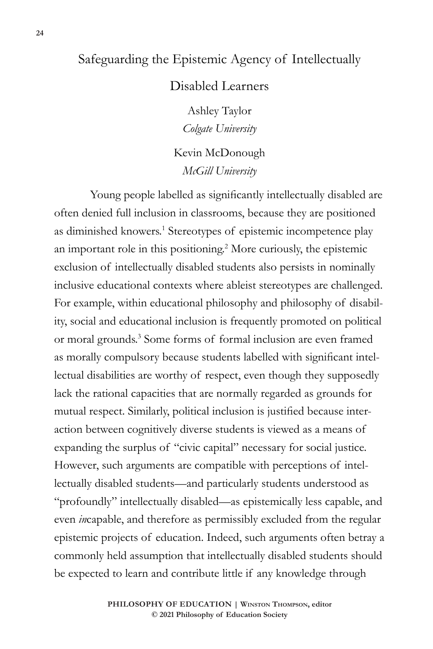# Safeguarding the Epistemic Agency of Intellectually

## Disabled Learners

Ashley Taylor *Colgate University*

Kevin McDonough *McGill University*

Young people labelled as significantly intellectually disabled are often denied full inclusion in classrooms, because they are positioned as diminished knowers.<sup>1</sup> Stereotypes of epistemic incompetence play an important role in this positioning.2 More curiously, the epistemic exclusion of intellectually disabled students also persists in nominally inclusive educational contexts where ableist stereotypes are challenged. For example, within educational philosophy and philosophy of disability, social and educational inclusion is frequently promoted on political or moral grounds.<sup>3</sup> Some forms of formal inclusion are even framed as morally compulsory because students labelled with significant intellectual disabilities are worthy of respect, even though they supposedly lack the rational capacities that are normally regarded as grounds for mutual respect. Similarly, political inclusion is justified because interaction between cognitively diverse students is viewed as a means of expanding the surplus of "civic capital" necessary for social justice. However, such arguments are compatible with perceptions of intellectually disabled students—and particularly students understood as "profoundly" intellectually disabled—as epistemically less capable, and even *in*capable, and therefore as permissibly excluded from the regular epistemic projects of education. Indeed, such arguments often betray a commonly held assumption that intellectually disabled students should be expected to learn and contribute little if any knowledge through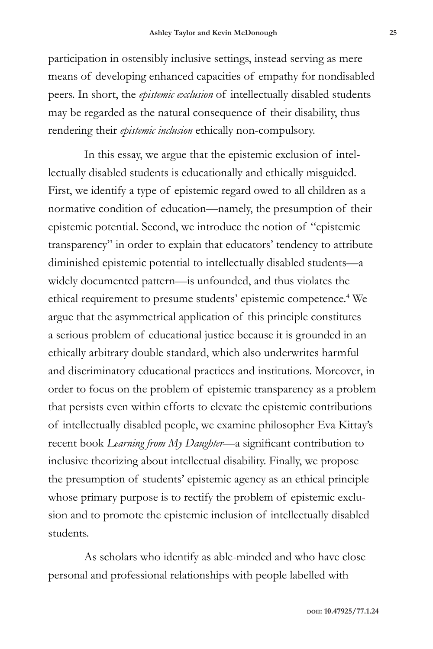participation in ostensibly inclusive settings, instead serving as mere means of developing enhanced capacities of empathy for nondisabled peers. In short, the *epistemic exclusion* of intellectually disabled students may be regarded as the natural consequence of their disability, thus rendering their *epistemic inclusion* ethically non-compulsory.

In this essay, we argue that the epistemic exclusion of intellectually disabled students is educationally and ethically misguided. First, we identify a type of epistemic regard owed to all children as a normative condition of education—namely, the presumption of their epistemic potential. Second, we introduce the notion of "epistemic transparency" in order to explain that educators' tendency to attribute diminished epistemic potential to intellectually disabled students—a widely documented pattern—is unfounded, and thus violates the ethical requirement to presume students' epistemic competence.<sup>4</sup> We argue that the asymmetrical application of this principle constitutes a serious problem of educational justice because it is grounded in an ethically arbitrary double standard, which also underwrites harmful and discriminatory educational practices and institutions. Moreover, in order to focus on the problem of epistemic transparency as a problem that persists even within efforts to elevate the epistemic contributions of intellectually disabled people, we examine philosopher Eva Kittay's recent book *Learning from My Daughter*—a significant contribution to inclusive theorizing about intellectual disability. Finally, we propose the presumption of students' epistemic agency as an ethical principle whose primary purpose is to rectify the problem of epistemic exclusion and to promote the epistemic inclusion of intellectually disabled students.

As scholars who identify as able-minded and who have close personal and professional relationships with people labelled with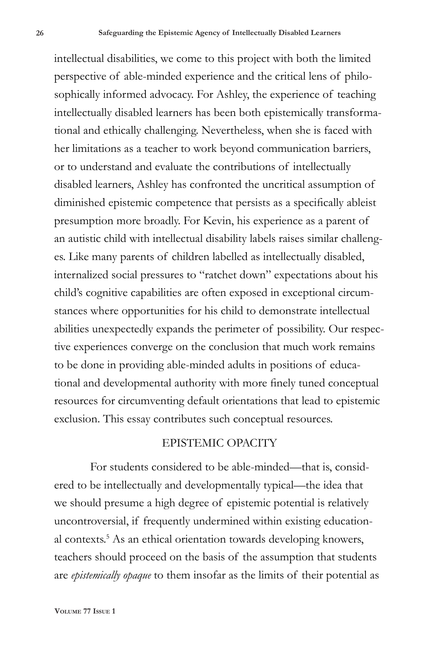intellectual disabilities, we come to this project with both the limited perspective of able-minded experience and the critical lens of philosophically informed advocacy. For Ashley, the experience of teaching intellectually disabled learners has been both epistemically transformational and ethically challenging. Nevertheless, when she is faced with her limitations as a teacher to work beyond communication barriers, or to understand and evaluate the contributions of intellectually disabled learners, Ashley has confronted the uncritical assumption of diminished epistemic competence that persists as a specifically ableist presumption more broadly. For Kevin, his experience as a parent of an autistic child with intellectual disability labels raises similar challenges. Like many parents of children labelled as intellectually disabled, internalized social pressures to "ratchet down" expectations about his child's cognitive capabilities are often exposed in exceptional circumstances where opportunities for his child to demonstrate intellectual abilities unexpectedly expands the perimeter of possibility. Our respective experiences converge on the conclusion that much work remains to be done in providing able-minded adults in positions of educational and developmental authority with more finely tuned conceptual resources for circumventing default orientations that lead to epistemic exclusion. This essay contributes such conceptual resources.

### EPISTEMIC OPACITY

For students considered to be able-minded—that is, considered to be intellectually and developmentally typical—the idea that we should presume a high degree of epistemic potential is relatively uncontroversial, if frequently undermined within existing educational contexts.<sup>5</sup> As an ethical orientation towards developing knowers, teachers should proceed on the basis of the assumption that students are *epistemically opaque* to them insofar as the limits of their potential as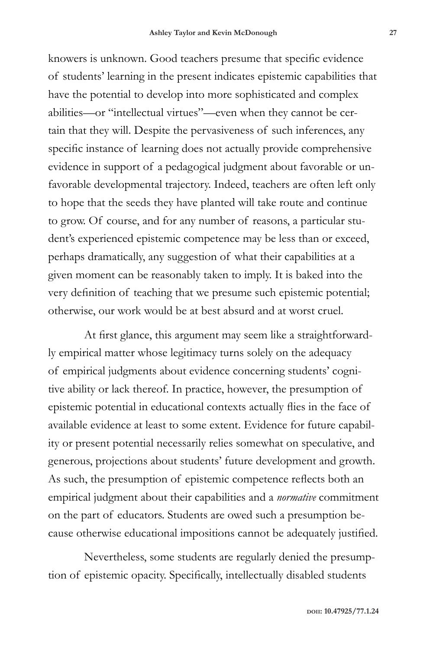knowers is unknown. Good teachers presume that specific evidence of students' learning in the present indicates epistemic capabilities that have the potential to develop into more sophisticated and complex abilities—or "intellectual virtues"—even when they cannot be certain that they will. Despite the pervasiveness of such inferences, any specific instance of learning does not actually provide comprehensive evidence in support of a pedagogical judgment about favorable or unfavorable developmental trajectory. Indeed, teachers are often left only to hope that the seeds they have planted will take route and continue to grow. Of course, and for any number of reasons, a particular student's experienced epistemic competence may be less than or exceed, perhaps dramatically, any suggestion of what their capabilities at a given moment can be reasonably taken to imply. It is baked into the very definition of teaching that we presume such epistemic potential; otherwise, our work would be at best absurd and at worst cruel.

At first glance, this argument may seem like a straightforwardly empirical matter whose legitimacy turns solely on the adequacy of empirical judgments about evidence concerning students' cognitive ability or lack thereof. In practice, however, the presumption of epistemic potential in educational contexts actually flies in the face of available evidence at least to some extent. Evidence for future capability or present potential necessarily relies somewhat on speculative, and generous, projections about students' future development and growth. As such, the presumption of epistemic competence reflects both an empirical judgment about their capabilities and a *normative* commitment on the part of educators. Students are owed such a presumption because otherwise educational impositions cannot be adequately justified.

Nevertheless, some students are regularly denied the presumption of epistemic opacity. Specifically, intellectually disabled students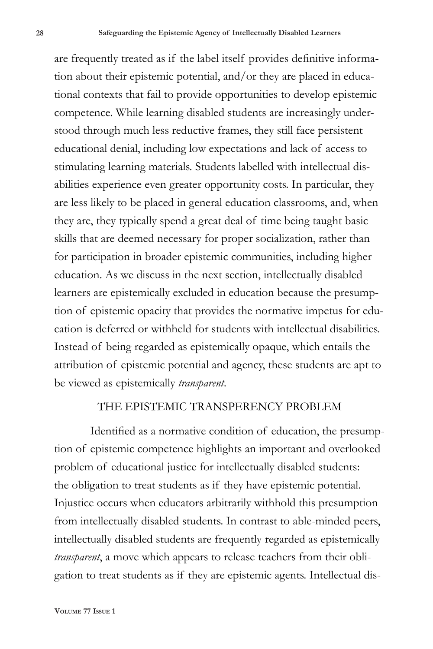are frequently treated as if the label itself provides definitive information about their epistemic potential, and/or they are placed in educational contexts that fail to provide opportunities to develop epistemic competence. While learning disabled students are increasingly understood through much less reductive frames, they still face persistent educational denial, including low expectations and lack of access to stimulating learning materials. Students labelled with intellectual disabilities experience even greater opportunity costs. In particular, they are less likely to be placed in general education classrooms, and, when they are, they typically spend a great deal of time being taught basic skills that are deemed necessary for proper socialization, rather than for participation in broader epistemic communities, including higher education. As we discuss in the next section, intellectually disabled learners are epistemically excluded in education because the presumption of epistemic opacity that provides the normative impetus for education is deferred or withheld for students with intellectual disabilities. Instead of being regarded as epistemically opaque, which entails the attribution of epistemic potential and agency, these students are apt to be viewed as epistemically *transparent*.

### THE EPISTEMIC TRANSPERENCY PROBLEM

Identified as a normative condition of education, the presumption of epistemic competence highlights an important and overlooked problem of educational justice for intellectually disabled students: the obligation to treat students as if they have epistemic potential. Injustice occurs when educators arbitrarily withhold this presumption from intellectually disabled students. In contrast to able-minded peers, intellectually disabled students are frequently regarded as epistemically *transparent*, a move which appears to release teachers from their obligation to treat students as if they are epistemic agents. Intellectual dis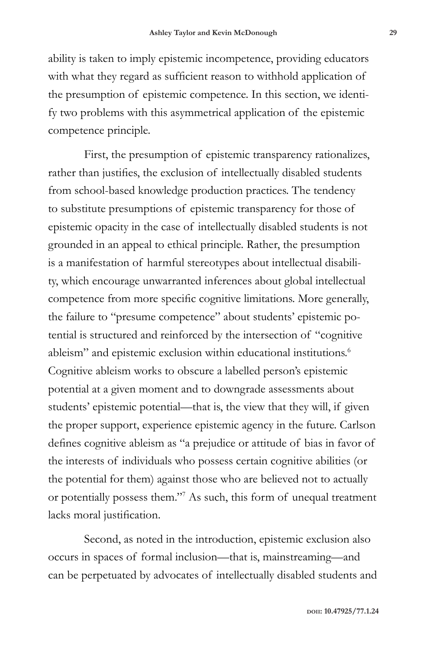ability is taken to imply epistemic incompetence, providing educators with what they regard as sufficient reason to withhold application of the presumption of epistemic competence. In this section, we identify two problems with this asymmetrical application of the epistemic competence principle.

First, the presumption of epistemic transparency rationalizes, rather than justifies, the exclusion of intellectually disabled students from school-based knowledge production practices. The tendency to substitute presumptions of epistemic transparency for those of epistemic opacity in the case of intellectually disabled students is not grounded in an appeal to ethical principle. Rather, the presumption is a manifestation of harmful stereotypes about intellectual disability, which encourage unwarranted inferences about global intellectual competence from more specific cognitive limitations. More generally, the failure to "presume competence" about students' epistemic potential is structured and reinforced by the intersection of "cognitive ableism" and epistemic exclusion within educational institutions.<sup>6</sup> Cognitive ableism works to obscure a labelled person's epistemic potential at a given moment and to downgrade assessments about students' epistemic potential—that is, the view that they will, if given the proper support, experience epistemic agency in the future. Carlson defines cognitive ableism as "a prejudice or attitude of bias in favor of the interests of individuals who possess certain cognitive abilities (or the potential for them) against those who are believed not to actually or potentially possess them."7 As such, this form of unequal treatment lacks moral justification.

Second, as noted in the introduction, epistemic exclusion also occurs in spaces of formal inclusion—that is, mainstreaming—and can be perpetuated by advocates of intellectually disabled students and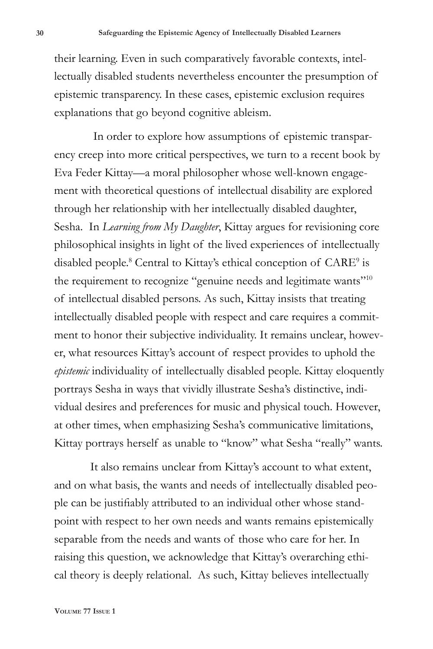their learning. Even in such comparatively favorable contexts, intellectually disabled students nevertheless encounter the presumption of epistemic transparency. In these cases, epistemic exclusion requires explanations that go beyond cognitive ableism.

 In order to explore how assumptions of epistemic transparency creep into more critical perspectives, we turn to a recent book by Eva Feder Kittay—a moral philosopher whose well-known engagement with theoretical questions of intellectual disability are explored through her relationship with her intellectually disabled daughter, Sesha. In *Learning from My Daughter*, Kittay argues for revisioning core philosophical insights in light of the lived experiences of intellectually disabled people.<sup>8</sup> Central to Kittay's ethical conception of CARE<sup>9</sup> is the requirement to recognize "genuine needs and legitimate wants"<sup>10</sup> of intellectual disabled persons. As such, Kittay insists that treating intellectually disabled people with respect and care requires a commitment to honor their subjective individuality. It remains unclear, however, what resources Kittay's account of respect provides to uphold the *epistemic* individuality of intellectually disabled people. Kittay eloquently portrays Sesha in ways that vividly illustrate Sesha's distinctive, individual desires and preferences for music and physical touch. However, at other times, when emphasizing Sesha's communicative limitations, Kittay portrays herself as unable to "know" what Sesha "really" wants.

It also remains unclear from Kittay's account to what extent, and on what basis, the wants and needs of intellectually disabled people can be justifiably attributed to an individual other whose standpoint with respect to her own needs and wants remains epistemically separable from the needs and wants of those who care for her. In raising this question, we acknowledge that Kittay's overarching ethical theory is deeply relational. As such, Kittay believes intellectually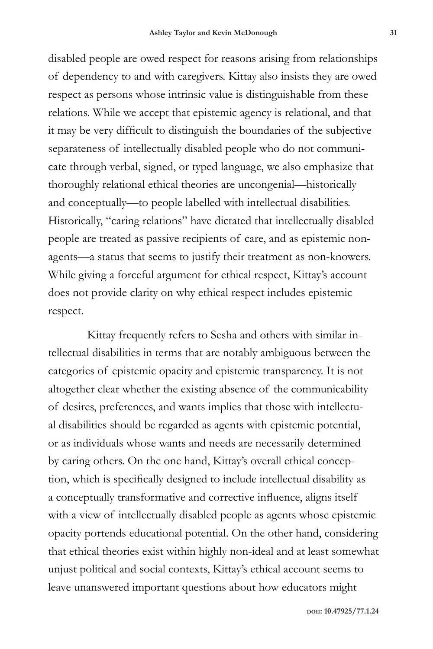disabled people are owed respect for reasons arising from relationships of dependency to and with caregivers. Kittay also insists they are owed respect as persons whose intrinsic value is distinguishable from these relations. While we accept that epistemic agency is relational, and that it may be very difficult to distinguish the boundaries of the subjective separateness of intellectually disabled people who do not communicate through verbal, signed, or typed language, we also emphasize that thoroughly relational ethical theories are uncongenial—historically and conceptually—to people labelled with intellectual disabilities. Historically, "caring relations" have dictated that intellectually disabled people are treated as passive recipients of care, and as epistemic nonagents—a status that seems to justify their treatment as non-knowers. While giving a forceful argument for ethical respect, Kittay's account does not provide clarity on why ethical respect includes epistemic respect.

 Kittay frequently refers to Sesha and others with similar intellectual disabilities in terms that are notably ambiguous between the categories of epistemic opacity and epistemic transparency. It is not altogether clear whether the existing absence of the communicability of desires, preferences, and wants implies that those with intellectual disabilities should be regarded as agents with epistemic potential, or as individuals whose wants and needs are necessarily determined by caring others. On the one hand, Kittay's overall ethical conception, which is specifically designed to include intellectual disability as a conceptually transformative and corrective influence, aligns itself with a view of intellectually disabled people as agents whose epistemic opacity portends educational potential. On the other hand, considering that ethical theories exist within highly non-ideal and at least somewhat unjust political and social contexts, Kittay's ethical account seems to leave unanswered important questions about how educators might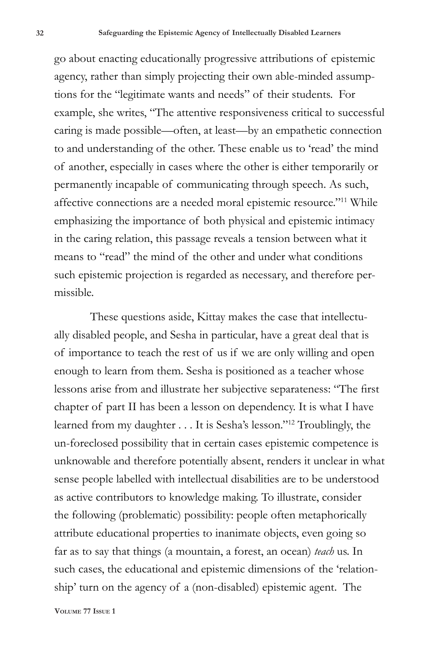go about enacting educationally progressive attributions of epistemic agency, rather than simply projecting their own able-minded assumptions for the "legitimate wants and needs" of their students. For example, she writes, "The attentive responsiveness critical to successful caring is made possible—often, at least—by an empathetic connection to and understanding of the other. These enable us to 'read' the mind of another, especially in cases where the other is either temporarily or permanently incapable of communicating through speech. As such, affective connections are a needed moral epistemic resource."11 While emphasizing the importance of both physical and epistemic intimacy in the caring relation, this passage reveals a tension between what it means to "read" the mind of the other and under what conditions such epistemic projection is regarded as necessary, and therefore permissible.

These questions aside, Kittay makes the case that intellectually disabled people, and Sesha in particular, have a great deal that is of importance to teach the rest of us if we are only willing and open enough to learn from them. Sesha is positioned as a teacher whose lessons arise from and illustrate her subjective separateness: "The first chapter of part II has been a lesson on dependency. It is what I have learned from my daughter . . . It is Sesha's lesson."12 Troublingly, the un-foreclosed possibility that in certain cases epistemic competence is unknowable and therefore potentially absent, renders it unclear in what sense people labelled with intellectual disabilities are to be understood as active contributors to knowledge making. To illustrate, consider the following (problematic) possibility: people often metaphorically attribute educational properties to inanimate objects, even going so far as to say that things (a mountain, a forest, an ocean) *teach* us. In such cases, the educational and epistemic dimensions of the 'relationship' turn on the agency of a (non-disabled) epistemic agent. The

**Volume 77 Issue 1**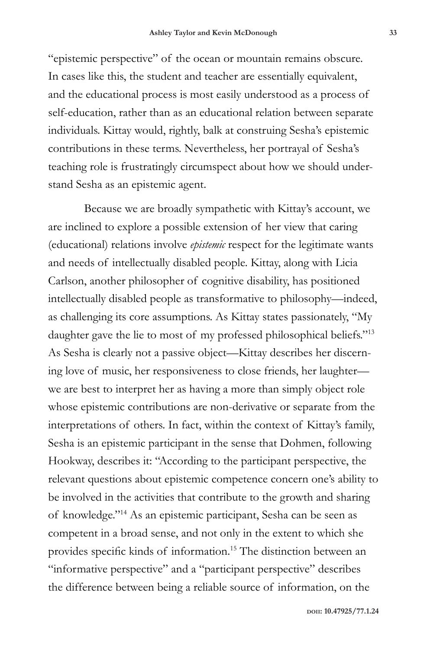"epistemic perspective" of the ocean or mountain remains obscure. In cases like this, the student and teacher are essentially equivalent, and the educational process is most easily understood as a process of self-education, rather than as an educational relation between separate individuals. Kittay would, rightly, balk at construing Sesha's epistemic contributions in these terms. Nevertheless, her portrayal of Sesha's teaching role is frustratingly circumspect about how we should understand Sesha as an epistemic agent.

Because we are broadly sympathetic with Kittay's account, we are inclined to explore a possible extension of her view that caring (educational) relations involve *epistemic* respect for the legitimate wants and needs of intellectually disabled people. Kittay, along with Licia Carlson, another philosopher of cognitive disability, has positioned intellectually disabled people as transformative to philosophy—indeed, as challenging its core assumptions. As Kittay states passionately, "My daughter gave the lie to most of my professed philosophical beliefs."<sup>13</sup> As Sesha is clearly not a passive object—Kittay describes her discerning love of music, her responsiveness to close friends, her laughter we are best to interpret her as having a more than simply object role whose epistemic contributions are non-derivative or separate from the interpretations of others. In fact, within the context of Kittay's family, Sesha is an epistemic participant in the sense that Dohmen, following Hookway, describes it: "According to the participant perspective, the relevant questions about epistemic competence concern one's ability to be involved in the activities that contribute to the growth and sharing of knowledge."14 As an epistemic participant, Sesha can be seen as competent in a broad sense, and not only in the extent to which she provides specific kinds of information.15 The distinction between an "informative perspective" and a "participant perspective" describes the difference between being a reliable source of information, on the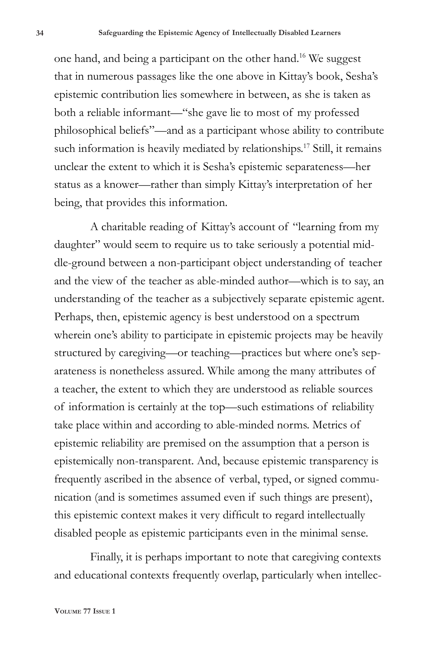one hand, and being a participant on the other hand.16 We suggest that in numerous passages like the one above in Kittay's book, Sesha's epistemic contribution lies somewhere in between, as she is taken as both a reliable informant—"she gave lie to most of my professed philosophical beliefs"—and as a participant whose ability to contribute such information is heavily mediated by relationships.<sup>17</sup> Still, it remains unclear the extent to which it is Sesha's epistemic separateness—her status as a knower—rather than simply Kittay's interpretation of her being, that provides this information.

A charitable reading of Kittay's account of "learning from my daughter" would seem to require us to take seriously a potential middle-ground between a non-participant object understanding of teacher and the view of the teacher as able-minded author—which is to say, an understanding of the teacher as a subjectively separate epistemic agent. Perhaps, then, epistemic agency is best understood on a spectrum wherein one's ability to participate in epistemic projects may be heavily structured by caregiving—or teaching—practices but where one's separateness is nonetheless assured. While among the many attributes of a teacher, the extent to which they are understood as reliable sources of information is certainly at the top—such estimations of reliability take place within and according to able-minded norms. Metrics of epistemic reliability are premised on the assumption that a person is epistemically non-transparent. And, because epistemic transparency is frequently ascribed in the absence of verbal, typed, or signed communication (and is sometimes assumed even if such things are present), this epistemic context makes it very difficult to regard intellectually disabled people as epistemic participants even in the minimal sense.

Finally, it is perhaps important to note that caregiving contexts and educational contexts frequently overlap, particularly when intellec-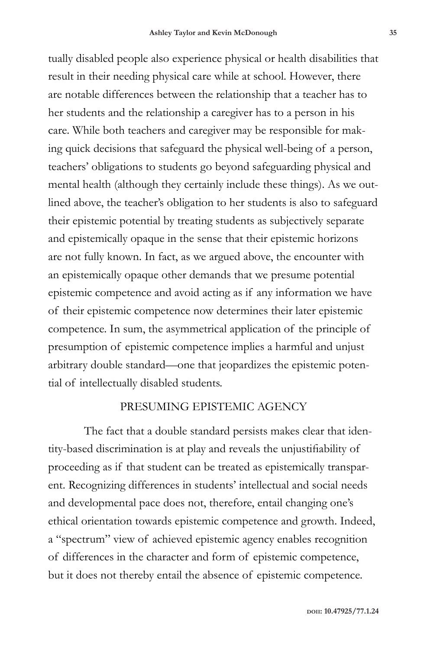tually disabled people also experience physical or health disabilities that result in their needing physical care while at school. However, there are notable differences between the relationship that a teacher has to her students and the relationship a caregiver has to a person in his care. While both teachers and caregiver may be responsible for making quick decisions that safeguard the physical well-being of a person, teachers' obligations to students go beyond safeguarding physical and mental health (although they certainly include these things). As we outlined above, the teacher's obligation to her students is also to safeguard their epistemic potential by treating students as subjectively separate and epistemically opaque in the sense that their epistemic horizons are not fully known. In fact, as we argued above, the encounter with an epistemically opaque other demands that we presume potential epistemic competence and avoid acting as if any information we have of their epistemic competence now determines their later epistemic competence. In sum, the asymmetrical application of the principle of presumption of epistemic competence implies a harmful and unjust arbitrary double standard—one that jeopardizes the epistemic potential of intellectually disabled students.

#### PRESUMING EPISTEMIC AGENCY

The fact that a double standard persists makes clear that identity-based discrimination is at play and reveals the unjustifiability of proceeding as if that student can be treated as epistemically transparent. Recognizing differences in students' intellectual and social needs and developmental pace does not, therefore, entail changing one's ethical orientation towards epistemic competence and growth. Indeed, a "spectrum" view of achieved epistemic agency enables recognition of differences in the character and form of epistemic competence, but it does not thereby entail the absence of epistemic competence.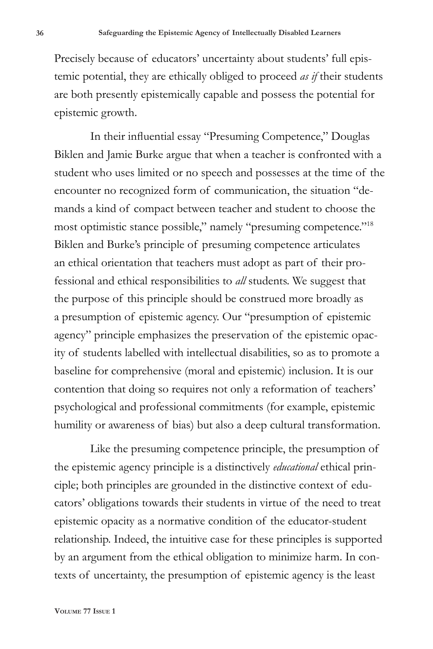Precisely because of educators' uncertainty about students' full epistemic potential, they are ethically obliged to proceed *as if* their students are both presently epistemically capable and possess the potential for epistemic growth.

In their influential essay "Presuming Competence," Douglas Biklen and Jamie Burke argue that when a teacher is confronted with a student who uses limited or no speech and possesses at the time of the encounter no recognized form of communication, the situation "demands a kind of compact between teacher and student to choose the most optimistic stance possible," namely "presuming competence."18 Biklen and Burke's principle of presuming competence articulates an ethical orientation that teachers must adopt as part of their professional and ethical responsibilities to *all* students. We suggest that the purpose of this principle should be construed more broadly as a presumption of epistemic agency. Our "presumption of epistemic agency" principle emphasizes the preservation of the epistemic opacity of students labelled with intellectual disabilities, so as to promote a baseline for comprehensive (moral and epistemic) inclusion. It is our contention that doing so requires not only a reformation of teachers' psychological and professional commitments (for example, epistemic humility or awareness of bias) but also a deep cultural transformation.

Like the presuming competence principle, the presumption of the epistemic agency principle is a distinctively *educational* ethical principle; both principles are grounded in the distinctive context of educators' obligations towards their students in virtue of the need to treat epistemic opacity as a normative condition of the educator-student relationship. Indeed, the intuitive case for these principles is supported by an argument from the ethical obligation to minimize harm. In contexts of uncertainty, the presumption of epistemic agency is the least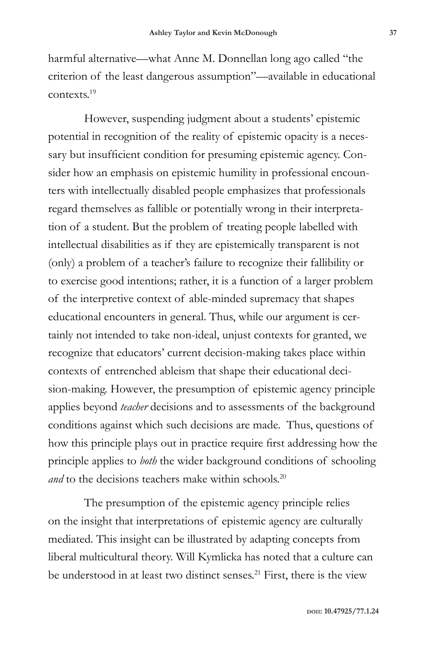harmful alternative—what Anne M. Donnellan long ago called "the criterion of the least dangerous assumption"—available in educational contexts.19

However, suspending judgment about a students' epistemic potential in recognition of the reality of epistemic opacity is a necessary but insufficient condition for presuming epistemic agency. Consider how an emphasis on epistemic humility in professional encounters with intellectually disabled people emphasizes that professionals regard themselves as fallible or potentially wrong in their interpretation of a student. But the problem of treating people labelled with intellectual disabilities as if they are epistemically transparent is not (only) a problem of a teacher's failure to recognize their fallibility or to exercise good intentions; rather, it is a function of a larger problem of the interpretive context of able-minded supremacy that shapes educational encounters in general. Thus, while our argument is certainly not intended to take non-ideal, unjust contexts for granted, we recognize that educators' current decision-making takes place within contexts of entrenched ableism that shape their educational decision-making. However, the presumption of epistemic agency principle applies beyond *teacher* decisions and to assessments of the background conditions against which such decisions are made. Thus, questions of how this principle plays out in practice require first addressing how the principle applies to *both* the wider background conditions of schooling *and* to the decisions teachers make within schools.<sup>20</sup>

The presumption of the epistemic agency principle relies on the insight that interpretations of epistemic agency are culturally mediated. This insight can be illustrated by adapting concepts from liberal multicultural theory. Will Kymlicka has noted that a culture can be understood in at least two distinct senses.<sup>21</sup> First, there is the view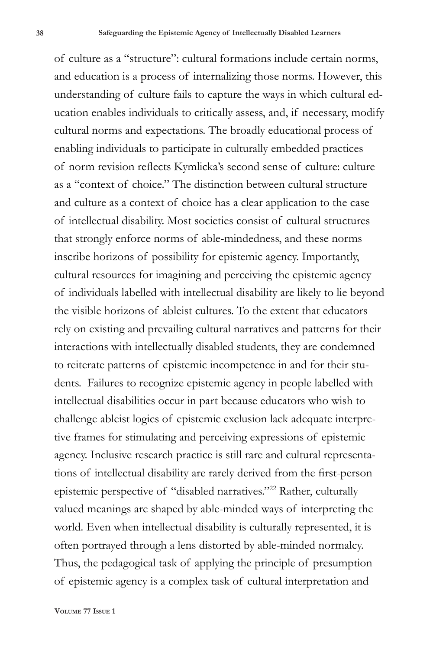of culture as a "structure": cultural formations include certain norms, and education is a process of internalizing those norms. However, this understanding of culture fails to capture the ways in which cultural education enables individuals to critically assess, and, if necessary, modify cultural norms and expectations. The broadly educational process of enabling individuals to participate in culturally embedded practices of norm revision reflects Kymlicka's second sense of culture: culture as a "context of choice." The distinction between cultural structure and culture as a context of choice has a clear application to the case of intellectual disability. Most societies consist of cultural structures that strongly enforce norms of able-mindedness, and these norms inscribe horizons of possibility for epistemic agency. Importantly, cultural resources for imagining and perceiving the epistemic agency of individuals labelled with intellectual disability are likely to lie beyond the visible horizons of ableist cultures. To the extent that educators rely on existing and prevailing cultural narratives and patterns for their interactions with intellectually disabled students, they are condemned to reiterate patterns of epistemic incompetence in and for their students. Failures to recognize epistemic agency in people labelled with intellectual disabilities occur in part because educators who wish to challenge ableist logics of epistemic exclusion lack adequate interpretive frames for stimulating and perceiving expressions of epistemic agency. Inclusive research practice is still rare and cultural representations of intellectual disability are rarely derived from the first-person epistemic perspective of "disabled narratives."22 Rather, culturally valued meanings are shaped by able-minded ways of interpreting the world. Even when intellectual disability is culturally represented, it is often portrayed through a lens distorted by able-minded normalcy. Thus, the pedagogical task of applying the principle of presumption of epistemic agency is a complex task of cultural interpretation and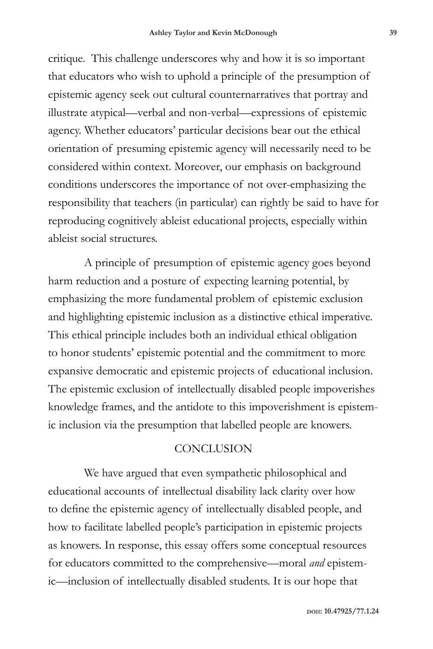critique. This challenge underscores why and how it is so important that educators who wish to uphold a principle of the presumption of epistemic agency seek out cultural counternarratives that portray and illustrate atypical—verbal and non-verbal—expressions of epistemic agency. Whether educators' particular decisions bear out the ethical orientation of presuming epistemic agency will necessarily need to be considered within context. Moreover, our emphasis on background conditions underscores the importance of not over-emphasizing the responsibility that teachers (in particular) can rightly be said to have for reproducing cognitively ableist educational projects, especially within ableist social structures.

A principle of presumption of epistemic agency goes beyond harm reduction and a posture of expecting learning potential, by emphasizing the more fundamental problem of epistemic exclusion and highlighting epistemic inclusion as a distinctive ethical imperative. This ethical principle includes both an individual ethical obligation to honor students' epistemic potential and the commitment to more expansive democratic and epistemic projects of educational inclusion. The epistemic exclusion of intellectually disabled people impoverishes knowledge frames, and the antidote to this impoverishment is epistemic inclusion via the presumption that labelled people are knowers.

#### **CONCLUSION**

We have argued that even sympathetic philosophical and educational accounts of intellectual disability lack clarity over how to define the epistemic agency of intellectually disabled people, and how to facilitate labelled people's participation in epistemic projects as knowers. In response, this essay offers some conceptual resources for educators committed to the comprehensive—moral *and* epistemic—inclusion of intellectually disabled students. It is our hope that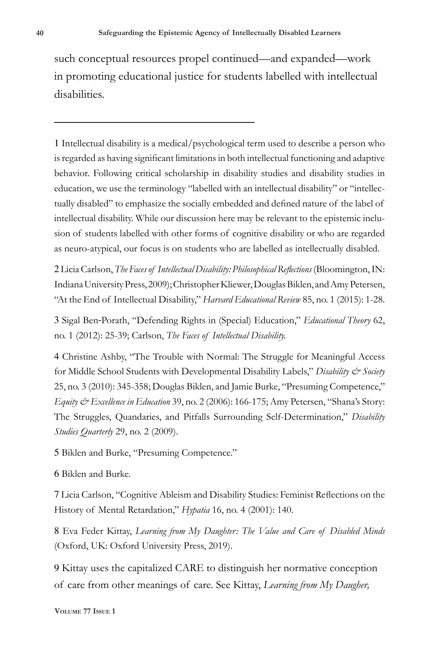such conceptual resources propel continued—and expanded—work in promoting educational justice for students labelled with intellectual disabilities.

1 Intellectual disability is a medical/psychological term used to describe a person who is regarded as having significant limitations in both intellectual functioning and adaptive behavior. Following critical scholarship in disability studies and disability studies in education, we use the terminology "labelled with an intellectual disability" or "intellectually disabled" to emphasize the socially embedded and defined nature of the label of intellectual disability. While our discussion here may be relevant to the epistemic inclusion of students labelled with other forms of cognitive disability or who are regarded as neuro-atypical, our focus is on students who are labelled as intellectually disabled.

2 Licia Carlson, *The Faces of Intellectual Disability: Philosophical Reflections* (Bloomington, IN: Indiana University Press, 2009); Christopher Kliewer, Douglas Biklen, and Amy Petersen, "At the End of Intellectual Disability," *Harvard Educational Review* 85, no. 1 (2015): 1-28.

3 Sigal Ben‐Porath, "Defending Rights in (Special) Education," *Educational Theory* 62, no. 1 (2012): 25-39; Carlson, *The Faces of Intellectual Disability.*

4 Christine Ashby, "The Trouble with Normal: The Struggle for Meaningful Access for Middle School Students with Developmental Disability Labels," *Disability & Society* 25, no. 3 (2010): 345-358; Douglas Biklen, and Jamie Burke, "Presuming Competence," *Equity & Excellence in Education* 39, no. 2 (2006): 166-175; Amy Petersen, "Shana's Story: The Struggles, Quandaries, and Pitfalls Surrounding Self-Determination," *Disability Studies Quarterly* 29, no. 2 (2009).

5 Biklen and Burke, "Presuming Competence."

6 Biklen and Burke.

7 Licia Carlson, "Cognitive Ableism and Disability Studies: Feminist Reflections on the History of Mental Retardation," *Hypatia* 16, no. 4 (2001): 140.

8 Eva Feder Kittay, *Learning from My Daughter: The Value and Care of Disabled Minds* (Oxford, UK: Oxford University Press, 2019).

9 Kittay uses the capitalized CARE to distinguish her normative conception of care from other meanings of care. See Kittay, *Learning from My Daugher,*